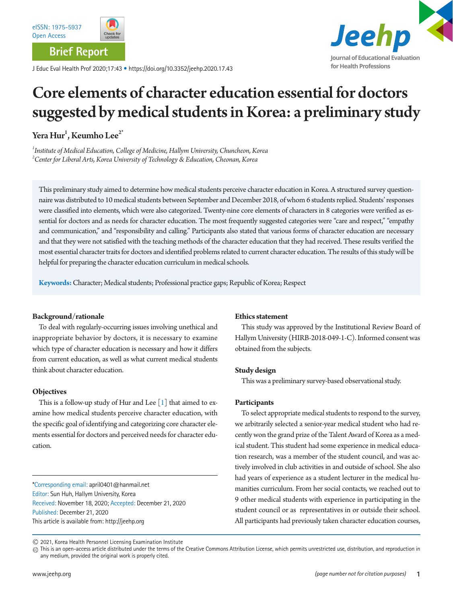

**Brief Report**

J Educ Eval Health Prof 2020;17:43 • https://doi.org/10.3352/jeehp.2020.17.43



# Core elements of character education essential for doctors suggested by medical students in Korea: a preliminary study

Yera  $\operatorname{Hur}^1$ , Keumho Lee $^{2^*}$ 

*1 Institute of Medical Education, College of Medicine, Hallym University, Chuncheon, Korea 2 Center for Liberal Arts, Korea University of Technology & Education, Cheonan, Korea* 

This preliminary study aimed to determine how medical students perceive character education in Korea. A structured survey questionnaire was distributed to 10 medical students between September and December 2018, of whom 6 students replied. Students' responses were classified into elements, which were also categorized. Twenty-nine core elements of characters in 8 categories were verified as essential for doctors and as needs for character education. The most frequently suggested categories were "care and respect," "empathy and communication," and "responsibility and calling." Participants also stated that various forms of character education are necessary and that they were not satisfied with the teaching methods of the character education that they had received. These results verified the most essential character traits for doctors and identified problems related to current character education. The results of this study will be helpful for preparing the character education curriculum in medical schools.

**Keywords:** Character; Medical students; Professional practice gaps; Republic of Korea; Respect

## **Background/rationale**

To deal with regularly-occurring issues involving unethical and inappropriate behavior by doctors, it is necessary to examine which type of character education is necessary and how it differs from current education, as well as what current medical students think about character education.

## **Objectives**

This is a follow-up study of Hur and Lee  $[1]$  that aimed to examine how medical students perceive character education, with the specific goal of identifying and categorizing core character elements essential for doctors and perceived needs for character education.

\*Corresponding email: april0401@hanmail.net Editor: Sun Huh, Hallym University, Korea Received: November 18, 2020; Accepted: December 21, 2020 Published: December 21, 2020 This article is available from: http://jeehp.org

#### **Ethics statement**

This study was approved by the Institutional Review Board of Hallym University (HIRB-2018-049-1-C). Informed consent was obtained from the subjects.

## **Study design**

This was a preliminary survey-based observational study.

## **Participants**

To select appropriate medical students to respond to the survey, we arbitrarily selected a senior-year medical student who had recently won the grand prize of the Talent Award of Korea as a medical student. This student had some experience in medical education research, was a member of the student council, and was actively involved in club activities in and outside of school. She also had years of experience as a student lecturer in the medical humanities curriculum. From her social contacts, we reached out to 9 other medical students with experience in participating in the student council or as representatives in or outside their school. All participants had previously taken character education courses,

2021, Korea Health Personnel Licensing Examination Institute

 $\textcircled{\tiny{}}$  This is an open-access article distributed under the terms of the Creative Commons Attribution License, which permits unrestricted use, distribution, and reproduction in any medium, provided the original work is properly cited.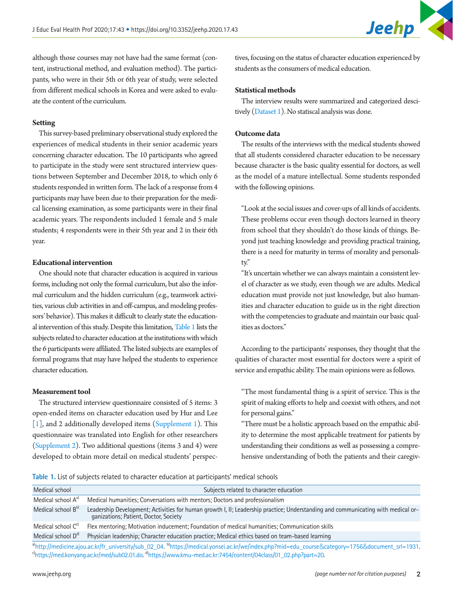

although those courses may not have had the same format (content, instructional method, and evaluation method). The participants, who were in their 5th or 6th year of study, were selected from different medical schools in Korea and were asked to evaluate the content of the curriculum.

#### **Setting**

This survey-based preliminary observational study explored the experiences of medical students in their senior academic years concerning character education. The 10 participants who agreed to participate in the study were sent structured interview questions between September and December 2018, to which only 6 students responded in written form. The lack of a response from 4 participants may have been due to their preparation for the medical licensing examination, as some participants were in their final academic years. The respondents included 1 female and 5 male students; 4 respondents were in their 5th year and 2 in their 6th year.

#### **Educational intervention**

One should note that character education is acquired in various forms, including not only the formal curriculum, but also the informal curriculum and the hidden curriculum (e.g., teamwork activities, various club activities in and off-campus, and modeling professors' behavior). This makes it difficult to clearly state the educational intervention of this study. Despite this limitation, Table 1 lists the subjects related to character education at the institutions with which the 6 participants were affiliated. The listed subjects are examples of formal programs that may have helped the students to experience character education.

#### **Measurement tool**

The structured interview questionnaire consisted of 5 items: 3 open-ended items on character education used by Hur and Lee [1], and 2 additionally developed items ([Supplement 1](#page-4-1)). This questionnaire was translated into English for other researchers [\(Supplement 2](#page-4-1)). Two additional questions (items 3 and 4) were developed to obtain more detail on medical students' perspec-

tives, focusing on the status of character education experienced by students as the consumers of medical education.

### **Statistical methods**

The interview results were summarized and categorized descitively [\(Dataset 1\)](#page-4-2). No statiscal analysis was done.

### **Outcome data**

The results of the interviews with the medical students showed that all students considered character education to be necessary because character is the basic quality essential for doctors, as well as the model of a mature intellectual. Some students responded with the following opinions.

"Look at the social issues and cover-ups of all kinds of accidents. These problems occur even though doctors learned in theory from school that they shouldn't do those kinds of things. Beyond just teaching knowledge and providing practical training, there is a need for maturity in terms of morality and personality."

"It's uncertain whether we can always maintain a consistent level of character as we study, even though we are adults. Medical education must provide not just knowledge, but also humanities and character education to guide us in the right direction with the competencies to graduate and maintain our basic qualities as doctors."

According to the participants' responses, they thought that the qualities of character most essential for doctors were a spirit of service and empathic ability. The main opinions were as follows.

"The most fundamental thing is a spirit of service. This is the spirit of making efforts to help and coexist with others, and not for personal gains."

"There must be a holistic approach based on the empathic ability to determine the most applicable treatment for patients by understanding their conditions as well as possessing a comprehensive understanding of both the patients and their caregiv-

<span id="page-1-0"></span>**Table 1.** List of subjects related to character education at participants' medical schools

| Medical school                                                                                                                                                                                                                           | Subjects related to character education                                                                                                                                   |  |
|------------------------------------------------------------------------------------------------------------------------------------------------------------------------------------------------------------------------------------------|---------------------------------------------------------------------------------------------------------------------------------------------------------------------------|--|
| Medical school A <sup>a)</sup>                                                                                                                                                                                                           | Medical humanities; Conversations with mentors; Doctors and professionalism                                                                                               |  |
| Medical school B <sup>b)</sup>                                                                                                                                                                                                           | Leadership Development; Activities for human growth I, II; Leadership practice; Understanding and communicating with medical or-<br>ganizations; Patient, Doctor, Society |  |
| Medical school C <sup>c)</sup>                                                                                                                                                                                                           | Flex mentoring; Motivation inducement; Foundation of medical humanities; Communication skills                                                                             |  |
| Medical school D <sup>d)</sup>                                                                                                                                                                                                           | Physician leadership; Character education practice; Medical ethics based on team-based learning                                                                           |  |
| <sup>a</sup> bttry/modicine.org/color=callstration/callstration/callstration/callstration/callstration/callstration/callstration/callstration/callstration/callstration/calculation/calculation/calculation/calculation/calculation/calc |                                                                                                                                                                           |  |

http://medicine.ajou.ac.kr/fr\_university/sub\_02\_04. <sup>o</sup>https://medical.yonsei.ac.kr/we/index.php?mid=edu\_course&category<sup>.</sup> <sup>d</sup>https://med.konyang.ac.kr/med/sub02.01.do.<sup>dl</sup>https://www.kmu-med.ac.kr:7454/content/04class/01\_02.php?part=20.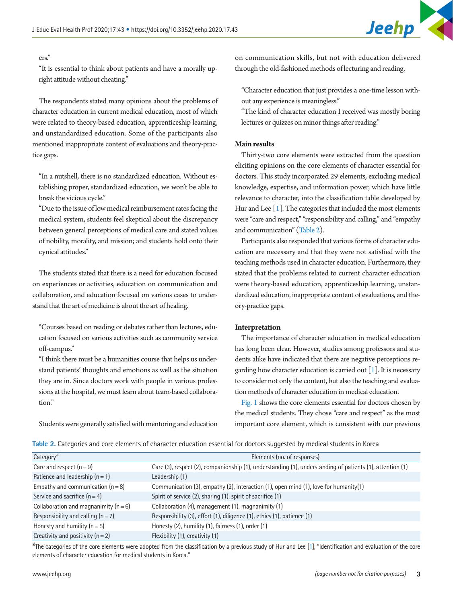## ers."

"It is essential to think about patients and have a morally upright attitude without cheating."

The respondents stated many opinions about the problems of character education in current medical education, most of which were related to theory-based education, apprenticeship learning, and unstandardized education. Some of the participants also mentioned inappropriate content of evaluations and theory-practice gaps.

"In a nutshell, there is no standardized education. Without establishing proper, standardized education, we won't be able to break the vicious cycle."

"Due to the issue of low medical reimbursement rates facing the medical system, students feel skeptical about the discrepancy between general perceptions of medical care and stated values of nobility, morality, and mission; and students hold onto their cynical attitudes."

The students stated that there is a need for education focused on experiences or activities, education on communication and collaboration, and education focused on various cases to understand that the art of medicine is about the art of healing.

"Courses based on reading or debates rather than lectures, education focused on various activities such as community service off-campus."

"I think there must be a humanities course that helps us understand patients' thoughts and emotions as well as the situation they are in. Since doctors work with people in various professions at the hospital, we must learn about team-based collaboration."

Students were generally satisfied with mentoring and education

on communication skills, but not with education delivered through the old-fashioned methods of lecturing and reading.

"Character education that just provides a one-time lesson without any experience is meaningless."

"The kind of character education I received was mostly boring lectures or quizzes on minor things after reading."

### **Main results**

Thirty-two core elements were extracted from the question eliciting opinions on the core elements of character essential for doctors. This study incorporated 29 elements, excluding medical knowledge, expertise, and information power, which have little relevance to character, into the classification table developed by Hur and Lee  $[1]$ . The categories that included the most elements were "care and respect," "responsibility and calling," and "empathy and communication" [\(Table 2](#page-2-0)).

Participants also responded that various forms of character education are necessary and that they were not satisfied with the teaching methods used in character education. Furthermore, they stated that the problems related to current character education were theory-based education, apprenticeship learning, unstandardized education, inappropriate content of evaluations, and theory-practice gaps.

## **Interpretation**

The importance of character education in medical education has long been clear. However, studies among professors and students alike have indicated that there are negative perceptions regarding how character education is carried out  $\lceil 1 \rceil$ . It is necessary to consider not only the content, but also the teaching and evaluation methods of character education in medical education.

[Fig. 1](#page-3-0) shows the core elements essential for doctors chosen by the medical students. They chose "care and respect" as the most important core element, which is consistent with our previous

<span id="page-2-0"></span>**Table 2.** Categories and core elements of character education essential for doctors suggested by medical students in Korea

| Category <sup>a)</sup>                  | Elements (no. of responses)                                                                               |
|-----------------------------------------|-----------------------------------------------------------------------------------------------------------|
| Care and respect $(n = 9)$              | Care (3), respect (2), companionship (1), understanding (1), understanding of patients (1), attention (1) |
| Patience and leadership $(n = 1)$       | Leadership (1)                                                                                            |
| Empathy and communication $(n = 8)$     | Communication (3), empathy (2), interaction (1), open mind (1), love for humanity(1)                      |
| Service and sacrifice $(n = 4)$         | Spirit of service (2), sharing (1), spirit of sacrifice (1)                                               |
| Collaboration and magnanimity $(n = 6)$ | Collaboration (4), management (1), magnanimity (1)                                                        |
| Responsibility and calling $(n = 7)$    | Responsibility (3), effort (1), diligence (1), ethics (1), patience (1)                                   |
| Honesty and humility $(n = 5)$          | Honesty (2), humility (1), fairness (1), order (1)                                                        |
| Creativity and positivity $(n = 2)$     | Flexibility (1), creativity (1)                                                                           |

a)The categories of the core elements were adopted from the classification by a previous study of Hur and Lee [[1\]](#page-4-3), "Identification and evaluation of the core elements of character education for medical students in Korea."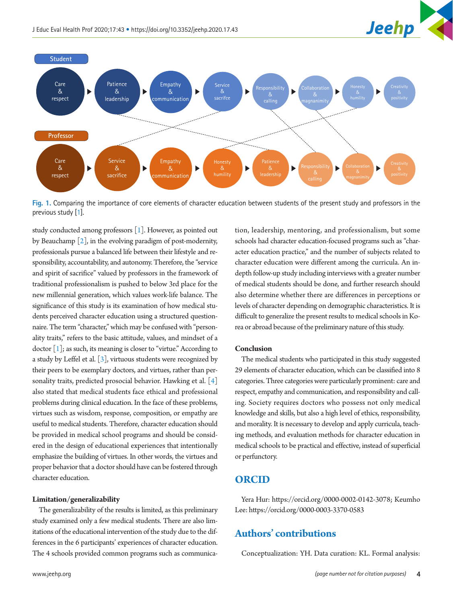

<span id="page-3-0"></span>

**Fig. 1.** Comparing the importance of core elements of character education between students of the present study and professors in the previous study [\[1\]](#page-4-3).

study conducted among professors [1]. However, as pointed out by Beauchamp  $\lceil 2 \rceil$ , in the evolving paradigm of post-modernity, professionals pursue a balanced life between their lifestyle and responsibility, accountability, and autonomy. Therefore, the "service and spirit of sacrifice" valued by professors in the framework of traditional professionalism is pushed to below 3rd place for the new millennial generation, which values work-life balance. The significance of this study is its examination of how medical students perceived character education using a structured questionnaire. The term "character," which may be confused with "personality traits," refers to the basic attitude, values, and mindset of a doctor  $[1]$ ; as such, its meaning is closer to "virtue." According to a study by Leffel et al. [\[3\]](#page-4-5), virtuous students were recognized by their peers to be exemplary doctors, and virtues, rather than personality traits, predicted prosocial behavior. Hawking et al. [\[4](#page-4-6)] also stated that medical students face ethical and professional problems during clinical education. In the face of these problems, virtues such as wisdom, response, composition, or empathy are useful to medical students. Therefore, character education should be provided in medical school programs and should be considered in the design of educational experiences that intentionally emphasize the building of virtues. In other words, the virtues and proper behavior that a doctor should have can be fostered through character education.

#### **Limitation/generalizability**

The generalizability of the results is limited, as this preliminary study examined only a few medical students. There are also limitations of the educational intervention of the study due to the differences in the 6 participants' experiences of character education. The 4 schools provided common programs such as communica-

tion, leadership, mentoring, and professionalism, but some schools had character education-focused programs such as "character education practice," and the number of subjects related to character education were different among the curricula. An indepth follow-up study including interviews with a greater number of medical students should be done, and further research should also determine whether there are differences in perceptions or levels of character depending on demographic characteristics. It is difficult to generalize the present results to medical schools in Korea or abroad because of the preliminary nature of this study.

#### **Conclusion**

The medical students who participated in this study suggested 29 elements of character education, which can be classified into 8 categories. Three categories were particularly prominent: care and respect, empathy and communication, and responsibility and calling. Society requires doctors who possess not only medical knowledge and skills, but also a high level of ethics, responsibility, and morality. It is necessary to develop and apply curricula, teaching methods, and evaluation methods for character education in medical schools to be practical and effective, instead of superficial or perfunctory.

# **ORCID**

Yera Hur: [https://orcid.org/0000-0002-0142-3078](http://orcid.org/0000-0002-0142-3078); Keumho Lee: [https://orcid.org/0000-0003-3370-0583](http://orcid.org/0000-0003-3370-0583)

# **Authors' contributions**

Conceptualization: YH. Data curation: KL. Formal analysis: